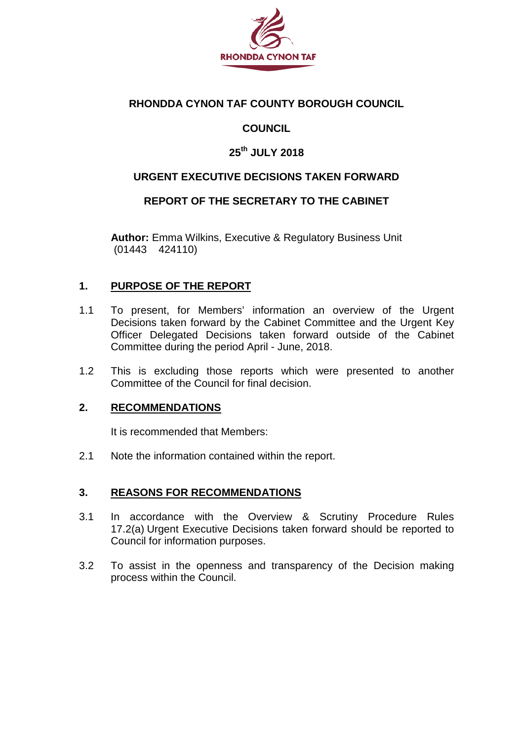

## **RHONDDA CYNON TAF COUNTY BOROUGH COUNCIL**

## **COUNCIL**

## **25th JULY 2018**

### **URGENT EXECUTIVE DECISIONS TAKEN FORWARD**

#### **REPORT OF THE SECRETARY TO THE CABINET**

**Author:** Emma Wilkins, Executive & Regulatory Business Unit (01443 424110)

#### **1. PURPOSE OF THE REPORT**

- 1.1 To present, for Members' information an overview of the Urgent Decisions taken forward by the Cabinet Committee and the Urgent Key Officer Delegated Decisions taken forward outside of the Cabinet Committee during the period April - June, 2018.
- 1.2 This is excluding those reports which were presented to another Committee of the Council for final decision.

#### **2. RECOMMENDATIONS**

It is recommended that Members:

2.1 Note the information contained within the report.

#### **3. REASONS FOR RECOMMENDATIONS**

- 3.1 In accordance with the Overview & Scrutiny Procedure Rules 17.2(a) Urgent Executive Decisions taken forward should be reported to Council for information purposes.
- 3.2 To assist in the openness and transparency of the Decision making process within the Council.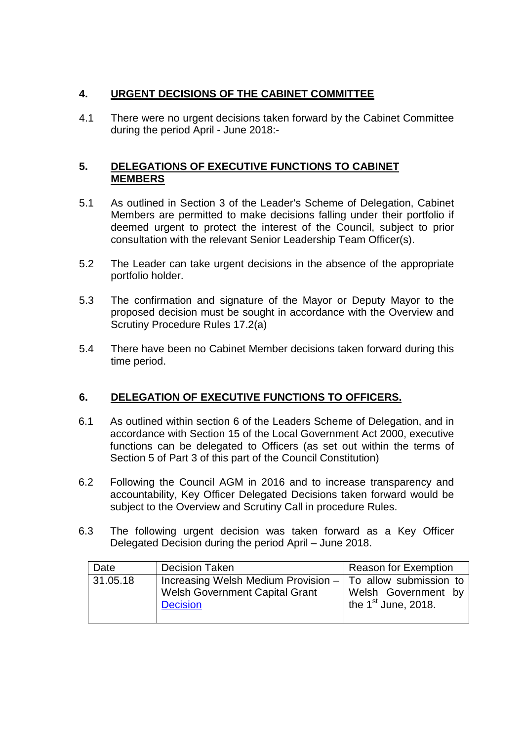### **4. URGENT DECISIONS OF THE CABINET COMMITTEE**

4.1 There were no urgent decisions taken forward by the Cabinet Committee during the period April - June 2018:-

### **5. DELEGATIONS OF EXECUTIVE FUNCTIONS TO CABINET MEMBERS**

- 5.1 As outlined in Section 3 of the Leader's Scheme of Delegation, Cabinet Members are permitted to make decisions falling under their portfolio if deemed urgent to protect the interest of the Council, subject to prior consultation with the relevant Senior Leadership Team Officer(s).
- 5.2 The Leader can take urgent decisions in the absence of the appropriate portfolio holder.
- 5.3 The confirmation and signature of the Mayor or Deputy Mayor to the proposed decision must be sought in accordance with the Overview and Scrutiny Procedure Rules 17.2(a)
- 5.4 There have been no Cabinet Member decisions taken forward during this time period.

## **6. DELEGATION OF EXECUTIVE FUNCTIONS TO OFFICERS.**

- 6.1 As outlined within section 6 of the Leaders Scheme of Delegation, and in accordance with Section 15 of the Local Government Act 2000, executive functions can be delegated to Officers (as set out within the terms of Section 5 of Part 3 of this part of the Council Constitution)
- 6.2 Following the Council AGM in 2016 and to increase transparency and accountability, Key Officer Delegated Decisions taken forward would be subject to the Overview and Scrutiny Call in procedure Rules.
- 6.3 The following urgent decision was taken forward as a Key Officer Delegated Decision during the period April – June 2018.

| Date     | <b>Decision Taken</b>                                                                                                    | Reason for Exemption                         |
|----------|--------------------------------------------------------------------------------------------------------------------------|----------------------------------------------|
| 31.05.18 | Increasing Welsh Medium Provision $-$ To allow submission to<br><b>Welsh Government Capital Grant</b><br><b>Decision</b> | Welsh Government by<br>the $1st$ June, 2018. |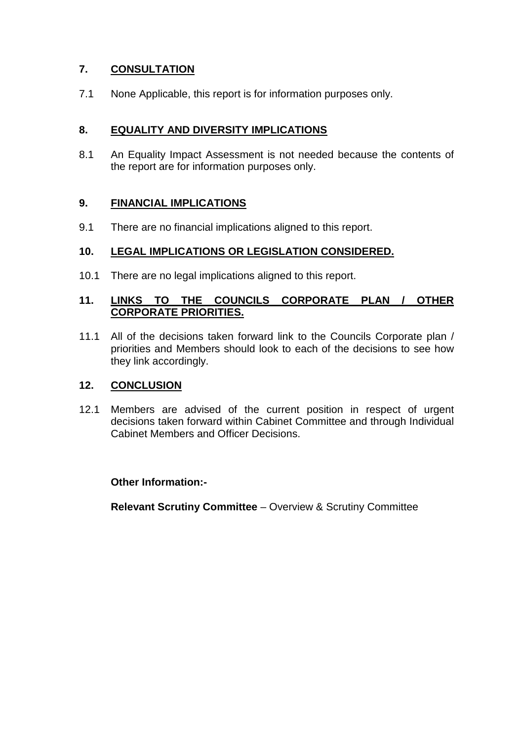## **7. CONSULTATION**

7.1 None Applicable, this report is for information purposes only.

### **8. EQUALITY AND DIVERSITY IMPLICATIONS**

8.1 An Equality Impact Assessment is not needed because the contents of the report are for information purposes only.

### **9. FINANCIAL IMPLICATIONS**

9.1 There are no financial implications aligned to this report.

#### **10. LEGAL IMPLICATIONS OR LEGISLATION CONSIDERED.**

10.1 There are no legal implications aligned to this report.

#### **11. LINKS TO THE COUNCILS CORPORATE PLAN / OTHER CORPORATE PRIORITIES.**

11.1 All of the decisions taken forward link to the Councils Corporate plan / priorities and Members should look to each of the decisions to see how they link accordingly.

#### **12. CONCLUSION**

12.1 Members are advised of the current position in respect of urgent decisions taken forward within Cabinet Committee and through Individual Cabinet Members and Officer Decisions.

#### **Other Information:-**

**Relevant Scrutiny Committee** – Overview & Scrutiny Committee